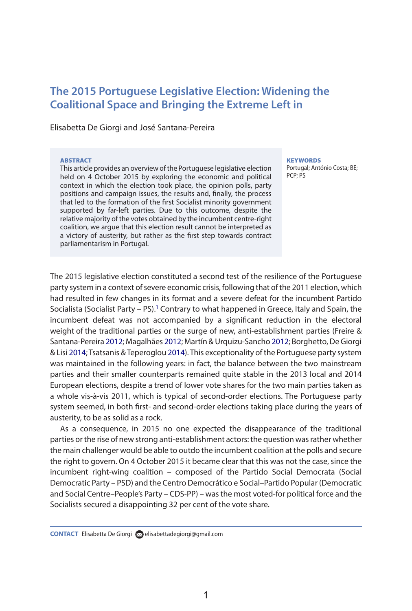# **The 2015 Portuguese Legislative Election: Widening the Coalitional Space and Bringing the Extreme Left in**

Elisabetta De Giorgi and José Santana-Pereira

#### **ARSTRACT**

This article provides an overview of the Portuguese legislative election held on 4 October 2015 by exploring the economic and political context in which the election took place, the opinion polls, party positions and campaign issues, the results and, finally, the process that led to the formation of the first Socialist minority government supported by far-left parties. Due to this outcome, despite the relative majority of the votes obtained by the incumbent centre-right coalition, we argue that this election result cannot be interpreted as a victory of austerity, but rather as the first step towards contract parliamentarism in Portugal.

#### **KEYWORDS**

Portugal; António Costa; BE; pcp; pS

The 2015 legislative election constituted a second test of the resilience of the Portuguese party system in a context of severe economic crisis, following that of the 2011 election, which had resulted in few changes in its format and a severe defeat for the incumbent Partido Socialista (Socialist Party – PS).<sup>1</sup> Contrary to what happened in Greece, Italy and Spain, the incumbent defeat was not accompanied by a significant reduction in the electoral weight of the traditional parties or the surge of new, anti-establishment parties (Freire & Santana-Pereira 2012; Magalhães 2012; Martín & Urquizu-Sancho 2012; Borghetto, De Giorgi & Lisi 2014; Tsatsanis & Teperoglou 2014). This exceptionality of the Portuguese party system was maintained in the following years: in fact, the balance between the two mainstream parties and their smaller counterparts remained quite stable in the 2013 local and 2014 European elections, despite a trend of lower vote shares for the two main parties taken as a whole vis-à-vis 2011, which is typical of second-order elections. The Portuguese party system seemed, in both first- and second-order elections taking place during the years of austerity, to be as solid as a rock.

As a consequence, in 2015 no one expected the disappearance of the traditional parties or the rise of new strong anti-establishment actors: the question was rather whether the main challenger would be able to outdo the incumbent coalition at the polls and secure the right to govern. On 4 October 2015 it became clear that this was not the case, since the incumbent right-wing coalition – composed of the Partido Social Democrata (Social Democratic Party – PSD) and the Centro Democrático e Social–Partido Popular (Democratic and Social Centre–People's Party – CDS-PP) – was the most voted-for political force and the Socialists secured a disappointing 32 per cent of the vote share.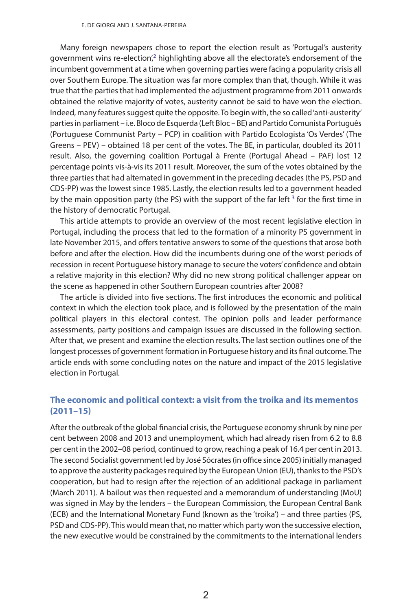Many foreign newspapers chose to report the election result as 'Portugal's austerity government wins re-election',<sup>2</sup> highlighting above all the electorate's endorsement of the incumbent government at a time when governing parties were facing a popularity crisis all over Southern Europe. The situation was far more complex than that, though. While it was true that the parties that had implemented the adjustment programme from 2011 onwards obtained the relative majority of votes, austerity cannot be said to have won the election. Indeed, many features suggest quite the opposite. To begin with, the so called 'anti-austerity' parties in parliament – i.e. Bloco de Esquerda (Left Bloc – BE) and Partido Comunista Português (Portuguese Communist Party – PCP) in coalition with Partido Ecologista 'Os Verdes' (The Greens – PEV) – obtained 18 per cent of the votes. The BE, in particular, doubled its 2011 result. Also, the governing coalition Portugal à Frente (Portugal Ahead – PAF) lost 12 percentage points vis-à-vis its 2011 result. Moreover, the sum of the votes obtained by the three parties that had alternated in government in the preceding decades (the PS, PSD and CDS-PP) was the lowest since 1985. Lastly, the election results led to a government headed by the main opposition party (the PS) with the support of the far left  $3$  for the first time in the history of democratic Portugal.

This article attempts to provide an overview of the most recent legislative election in Portugal, including the process that led to the formation of a minority PS government in late November 2015, and offers tentative answers to some of the questions that arose both before and after the election. How did the incumbents during one of the worst periods of recession in recent Portuguese history manage to secure the voters' confidence and obtain a relative majority in this election? Why did no new strong political challenger appear on the scene as happened in other Southern European countries after 2008?

The article is divided into five sections. The first introduces the economic and political context in which the election took place, and is followed by the presentation of the main political players in this electoral contest. The opinion polls and leader performance assessments, party positions and campaign issues are discussed in the following section. After that, we present and examine the election results. The last section outlines one of the longest processes of government formation in Portuguese history and its final outcome. The article ends with some concluding notes on the nature and impact of the 2015 legislative election in Portugal.

# **The economic and political context: a visit from the troika and its mementos (2011–15)**

After the outbreak of the global financial crisis, the Portuguese economy shrunk by nine per cent between 2008 and 2013 and unemployment, which had already risen from 6.2 to 8.8 per cent in the 2002–08 period, continued to grow, reaching a peak of 16.4 per cent in 2013. The second Socialist government led by José Sócrates (in office since 2005) initially managed to approve the austerity packages required by the European Union (EU), thanks to the PSD's cooperation, but had to resign after the rejection of an additional package in parliament (March 2011). A bailout was then requested and a memorandum of understanding (MoU) was signed in May by the lenders – the European Commission, the European Central Bank (ECB) and the International Monetary Fund (known as the 'troika') – and three parties (PS, PSD and CDS-PP). This would mean that, no matter which party won the successive election, the new executive would be constrained by the commitments to the international lenders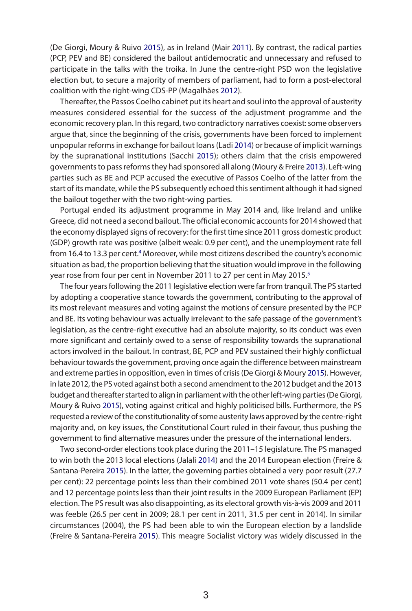(De Giorgi, Moury & Ruivo 2015), as in Ireland (Mair 2011). By contrast, the radical parties (PCP, PEV and BE) considered the bailout antidemocratic and unnecessary and refused to participate in the talks with the troika. In June the centre-right PSD won the legislative election but, to secure a majority of members of parliament, had to form a post-electoral coalition with the right-wing CDS-PP (Magalhães 2012).

Thereafter, the Passos Coelho cabinet put its heart and soul into the approval of austerity measures considered essential for the success of the adjustment programme and the economic recovery plan. In this regard, two contradictory narratives coexist: some observers argue that, since the beginning of the crisis, governments have been forced to implement unpopular reforms in exchange for bailout loans (Ladi 2014) or because of implicit warnings by the supranational institutions (Sacchi 2015); others claim that the crisis empowered governments to pass reforms they had sponsored all along (Moury & Freire 2013). Left-wing parties such as BE and PCP accused the executive of Passos Coelho of the latter from the start of its mandate, while the PS subsequently echoed this sentiment although it had signed the bailout together with the two right-wing parties.

Portugal ended its adjustment programme in May 2014 and, like Ireland and unlike Greece, did not need a second bailout. The official economic accounts for 2014 showed that the economy displayed signs of recovery: for the first time since 2011 gross domestic product (GDP) growth rate was positive (albeit weak: 0.9 per cent), and the unemployment rate fell from 16.4 to 13.3 per cent.<sup>4</sup> Moreover, while most citizens described the country's economic situation as bad, the proportion believing that the situation would improve in the following year rose from four per cent in November 2011 to 27 per cent in May 2015.<sup>5</sup>

The four years following the 2011 legislative election were far from tranquil. The PS started by adopting a cooperative stance towards the government, contributing to the approval of its most relevant measures and voting against the motions of censure presented by the PCP and BE. Its voting behaviour was actually irrelevant to the safe passage of the government's legislation, as the centre-right executive had an absolute majority, so its conduct was even more significant and certainly owed to a sense of responsibility towards the supranational actors involved in the bailout. In contrast, BE, PCP and PEV sustained their highly conflictual behaviour towards the government, proving once again the difference between mainstream and extreme parties in opposition, even in times of crisis (De Giorgi & Moury 2015). However, in late 2012, the PS voted against both a second amendment to the 2012 budget and the 2013 budget and thereafter started to align in parliament with the other left-wing parties (De Giorgi, Moury & Ruivo 2015), voting against critical and highly politicised bills. Furthermore, the PS requested a review of the constitutionality of some austerity laws approved by the centre-right majority and, on key issues, the Constitutional Court ruled in their favour, thus pushing the government to find alternative measures under the pressure of the international lenders.

Two second-order elections took place during the 2011–15 legislature. The PS managed to win both the 2013 local elections (Jalali 2014) and the 2014 European election (Freire & Santana-Pereira 2015). In the latter, the governing parties obtained a very poor result (27.7 per cent): 22 percentage points less than their combined 2011 vote shares (50.4 per cent) and 12 percentage points less than their joint results in the 2009 European Parliament (EP) election. The PS result was also disappointing, as its electoral growth vis-à-vis 2009 and 2011 was feeble (26.5 per cent in 2009; 28.1 per cent in 2011, 31.5 per cent in 2014). In similar circumstances (2004), the PS had been able to win the European election by a landslide (Freire & Santana-Pereira 2015). This meagre Socialist victory was widely discussed in the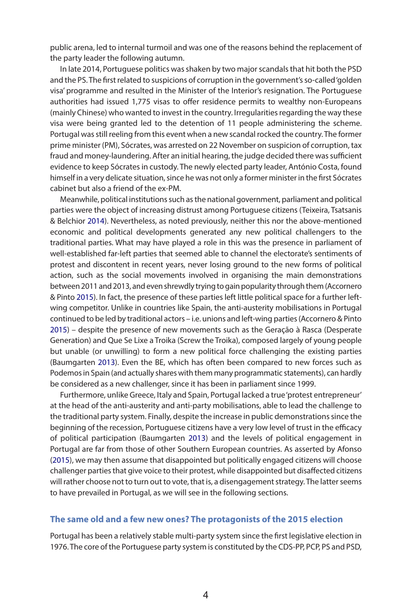public arena, led to internal turmoil and was one of the reasons behind the replacement of the party leader the following autumn.

In late 2014, Portuguese politics was shaken by two major scandals that hit both the PSD and the PS. The first related to suspicions of corruption in the government's so-called 'golden visa' programme and resulted in the Minister of the Interior's resignation. The Portuguese authorities had issued 1,775 visas to offer residence permits to wealthy non-Europeans (mainly Chinese) who wanted to invest in the country. Irregularities regarding the way these visa were being granted led to the detention of 11 people administering the scheme. Portugal was still reeling from this event when a new scandal rocked the country. The former prime minister (PM), Sócrates, was arrested on 22 november on suspicion of corruption, tax fraud and money-laundering. After an initial hearing, the judge decided there was sufficient evidence to keep Sócrates in custody. The newly elected party leader, António Costa, found himself in a very delicate situation, since he was not only a former minister in the first Sócrates cabinet but also a friend of the ex-PM.

Meanwhile, political institutions such as the national government, parliament and political parties were the object of increasing distrust among Portuguese citizens (Teixeira, Tsatsanis & Belchior 2014). nevertheless, as noted previously, neither this nor the above-mentioned economic and political developments generated any new political challengers to the traditional parties. What may have played a role in this was the presence in parliament of well-established far-left parties that seemed able to channel the electorate's sentiments of protest and discontent in recent years, never losing ground to the new forms of political action, such as the social movements involved in organising the main demonstrations between 2011 and 2013, and even shrewdly trying to gain popularity through them (Accornero & Pinto 2015). In fact, the presence of these parties left little political space for a further leftwing competitor. Unlike in countries like Spain, the anti-austerity mobilisations in Portugal continued to be led by traditional actors – i.e. unions and left-wing parties (Accornero & Pinto 2015) – despite the presence of new movements such as the Geração à Rasca (Desperate Generation) and Que Se Lixe a Troika (Screw the Troika), composed largely of young people but unable (or unwilling) to form a new political force challenging the existing parties (Baumgarten 2013). Even the BE, which has often been compared to new forces such as Podemos in Spain (and actually shares with them many programmatic statements), can hardly be considered as a new challenger, since it has been in parliament since 1999.

Furthermore, unlike Greece, Italy and Spain, Portugal lacked a true 'protest entrepreneur' at the head of the anti-austerity and anti-party mobilisations, able to lead the challenge to the traditional party system. Finally, despite the increase in public demonstrations since the beginning of the recession, Portuguese citizens have a very low level of trust in the efficacy of political participation (Baumgarten 2013) and the levels of political engagement in Portugal are far from those of other Southern European countries. As asserted by Afonso (2015), we may then assume that disappointed but politically engaged citizens will choose challenger parties that give voice to their protest, while disappointed but disaffected citizens will rather choose not to turn out to vote, that is, a disengagement strategy. The latter seems to have prevailed in Portugal, as we will see in the following sections.

#### **The same old and a few new ones? The protagonists of the 2015 election**

Portugal has been a relatively stable multi-party system since the first legislative election in 1976. The core of the Portuguese party system is constituted by the CDS-PP, PCP, PS and PSD,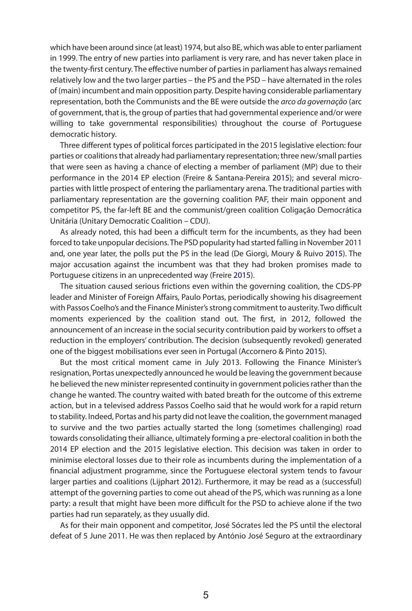which have been around since (at least) 1974, but also BE, which was able to enter parliament in 1999. The entry of new parties into parliament is very rare, and has never taken place in the twenty-first century. The effective number of parties in parliament has always remained relatively low and the two larger parties – the PS and the PSD – have alternated in the roles of (main) incumbent and main opposition party. Despite having considerable parliamentary representation, both the Communists and the BE were outside the *arco da governação* (arc of government, that is, the group of parties that had governmental experience and/or were willing to take governmental responsibilities) throughout the course of Portuguese democratic history.

Three different types of political forces participated in the 2015 legislative election: four parties or coalitions that already had parliamentary representation; three new/small parties that were seen as having a chance of electing a member of parliament (MP) due to their performance in the 2014 EP election (Freire & Santana-Pereira 2015); and several microparties with little prospect of entering the parliamentary arena. The traditional parties with parliamentary representation are the governing coalition PAF, their main opponent and competitor PS, the far-left BE and the communist/green coalition Coligação Democrática Unitária (Unitary Democratic Coalition – CDU).

As already noted, this had been a difficult term for the incumbents, as they had been forced to take unpopular decisions. The PSD popularity had started falling in november 2011 and, one year later, the polls put the PS in the lead (De Giorgi, Moury & Ruivo 2015). The major accusation against the incumbent was that they had broken promises made to Portuguese citizens in an unprecedented way (Freire 2015).

The situation caused serious frictions even within the governing coalition, the CDS-PP leader and Minister of Foreign Affairs, Paulo Portas, periodically showing his disagreement with Passos Coelho's and the Finance Minister's strong commitment to austerity. Two difficult moments experienced by the coalition stand out. The first, in 2012, followed the announcement of an increase in the social security contribution paid by workers to offset a reduction in the employers' contribution. The decision (subsequently revoked) generated one of the biggest mobilisations ever seen in Portugal (Accornero & Pinto 2015).

But the most critical moment came in July 2013. Following the Finance Minister's resignation, Portas unexpectedly announced he would be leaving the government because he believed the new minister represented continuity in government policies rather than the change he wanted. The country waited with bated breath for the outcome of this extreme action, but in a televised address Passos Coelho said that he would work for a rapid return to stability. Indeed, Portas and his party did not leave the coalition, the government managed to survive and the two parties actually started the long (sometimes challenging) road towards consolidating their alliance, ultimately forming a pre-electoral coalition in both the 2014 EP election and the 2015 legislative election. This decision was taken in order to minimise electoral losses due to their role as incumbents during the implementation of a financial adjustment programme, since the Portuguese electoral system tends to favour larger parties and coalitions (Lijphart 2012). Furthermore, it may be read as a (successful) attempt of the governing parties to come out ahead of the PS, which was running as a lone party: a result that might have been more difficult for the PSD to achieve alone if the two parties had run separately, as they usually did.

As for their main opponent and competitor, José Sócrates led the PS until the electoral defeat of 5 June 2011. He was then replaced by António José Seguro at the extraordinary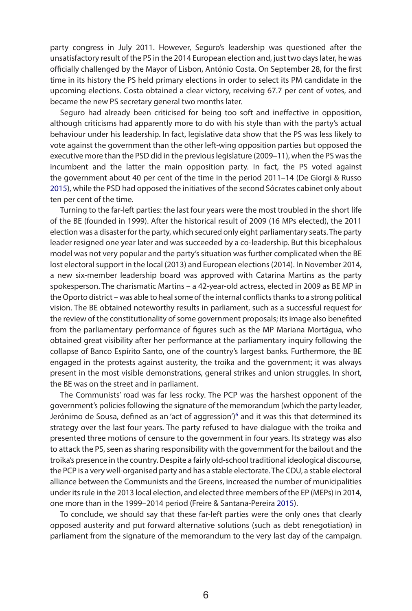party congress in July 2011. However, Seguro's leadership was questioned after the unsatisfactory result of the PS in the 2014 European election and, just two days later, he was officially challenged by the Mayor of Lisbon, António Costa. On September 28, for the first time in its history the PS held primary elections in order to select its PM candidate in the upcoming elections. Costa obtained a clear victory, receiving 67.7 per cent of votes, and became the new PS secretary general two months later.

Seguro had already been criticised for being too soft and ineffective in opposition, although criticisms had apparently more to do with his style than with the party's actual behaviour under his leadership. In fact, legislative data show that the PS was less likely to vote against the government than the other left-wing opposition parties but opposed the executive more than the PSD did in the previous legislature (2009–11), when the PS was the incumbent and the latter the main opposition party. In fact, the PS voted against the government about 40 per cent of the time in the period 2011–14 (De Giorgi & Russo 2015), while the PSD had opposed the initiatives of the second Sócrates cabinet only about ten per cent of the time.

Turning to the far-left parties: the last four years were the most troubled in the short life of the BE (founded in 1999). After the historical result of 2009 (16 MPs elected), the 2011 election was a disaster for the party, which secured only eight parliamentary seats. The party leader resigned one year later and was succeeded by a co-leadership. But this bicephalous model was not very popular and the party's situation was further complicated when the BE lost electoral support in the local (2013) and European elections (2014). In November 2014, a new six-member leadership board was approved with Catarina Martins as the party spokesperson. The charismatic Martins – a 42-year-old actress, elected in 2009 as BE MP in the Oporto district – was able to heal some of the internal conflicts thanks to a strong political vision. The BE obtained noteworthy results in parliament, such as a successful request for the review of the constitutionality of some government proposals; its image also benefited from the parliamentary performance of figures such as the MP Mariana Mortágua, who obtained great visibility after her performance at the parliamentary inquiry following the collapse of Banco Espírito Santo, one of the country's largest banks. Furthermore, the BE engaged in the protests against austerity, the troika and the government; it was always present in the most visible demonstrations, general strikes and union struggles. In short, the BE was on the street and in parliament.

The Communists' road was far less rocky. The PCP was the harshest opponent of the government's policies following the signature of the memorandum (which the party leader, Jerónimo de Sousa, defined as an 'act of aggression') $6$  and it was this that determined its strategy over the last four years. The party refused to have dialogue with the troika and presented three motions of censure to the government in four years. Its strategy was also to attack the PS, seen as sharing responsibility with the government for the bailout and the troika's presence in the country. Despite a fairly old-school traditional ideological discourse, the PCP is a very well-organised party and has a stable electorate. The CDU, a stable electoral alliance between the Communists and the Greens, increased the number of municipalities under its rule in the 2013 local election, and elected three members of the EP (MEPs) in 2014, one more than in the 1999–2014 period (Freire & Santana-Pereira 2015).

To conclude, we should say that these far-left parties were the only ones that clearly opposed austerity and put forward alternative solutions (such as debt renegotiation) in parliament from the signature of the memorandum to the very last day of the campaign.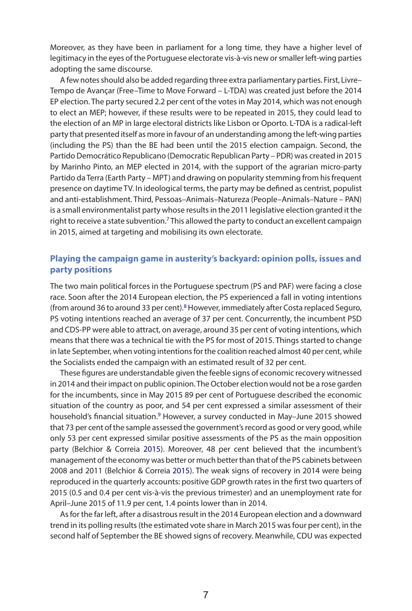Moreover, as they have been in parliament for a long time, they have a higher level of legitimacy in the eyes of the Portuguese electorate vis-à-vis new or smaller left-wing parties adopting the same discourse.

A few notes should also be added regarding three extra parliamentary parties. First, Livre– Tempo de Avançar (Free–Time to Move Forward – L-TDA) was created just before the 2014 EP election. The party secured 2.2 per cent of the votes in May 2014, which was not enough to elect an MEP; however, if these results were to be repeated in 2015, they could lead to the election of an MP in large electoral districts like Lisbon or Oporto. L-TDA is a radical-left party that presented itself as more in favour of an understanding among the left-wing parties (including the PS) than the BE had been until the 2015 election campaign. Second, the Partido Democrático Republicano (Democratic Republican Party – PDR) was created in 2015 by Marinho Pinto, an MEP elected in 2014, with the support of the agrarian micro-party Partido da Terra (Earth Party – MPT) and drawing on popularity stemming from his frequent presence on daytime TV. In ideological terms, the party may be defined as centrist, populist and anti-establishment. Third, Pessoas-Animais-Natureza (People-Animals-Nature - PAN) is a small environmentalist party whose results in the 2011 legislative election granted it the right to receive a state subvention.<sup>7</sup> This allowed the party to conduct an excellent campaign in 2015, aimed at targeting and mobilising its own electorate.

# **Playing the campaign game in austerity's backyard: opinion polls, issues and party positions**

The two main political forces in the Portuguese spectrum (PS and PAF) were facing a close race. Soon after the 2014 European election, the PS experienced a fall in voting intentions (from around 36 to around 33 per cent).<sup>8</sup> However, immediately after Costa replaced Seguro, PS voting intentions reached an average of 37 per cent. Concurrently, the incumbent PSD and CDS-PP were able to attract, on average, around 35 per cent of voting intentions, which means that there was a technical tie with the PS for most of 2015. Things started to change in late September, when voting intentions for the coalition reached almost 40 per cent, while the Socialists ended the campaign with an estimated result of 32 per cent.

These figures are understandable given the feeble signs of economic recovery witnessed in 2014 and their impact on public opinion. The October election would not be a rose garden for the incumbents, since in May 2015 89 per cent of Portuguese described the economic situation of the country as poor, and 54 per cent expressed a similar assessment of their household's financial situation.<sup>9</sup> However, a survey conducted in May-June 2015 showed that 73 per cent of the sample assessed the government's record as good or very good, while only 53 per cent expressed similar positive assessments of the PS as the main opposition party (Belchior & Correia 2015). Moreover, 48 per cent believed that the incumbent's management of the economy was better or much better than that of the PS cabinets between 2008 and 2011 (Belchior & Correia 2015). The weak signs of recovery in 2014 were being reproduced in the quarterly accounts: positive GDP growth rates in the first two quarters of 2015 (0.5 and 0.4 per cent vis-à-vis the previous trimester) and an unemployment rate for April–June 2015 of 11.9 per cent, 1.4 points lower than in 2014.

As for the far left, after a disastrous result in the 2014 European election and a downward trend in its polling results (the estimated vote share in March 2015 was four per cent), in the second half of September the BE showed signs of recovery. Meanwhile, CDU was expected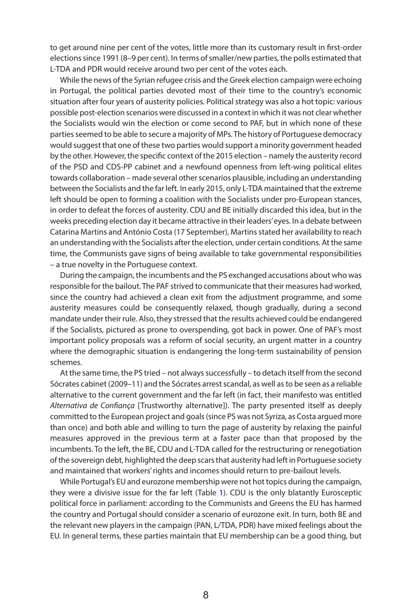to get around nine per cent of the votes, little more than its customary result in first-order elections since 1991 (8–9 per cent). In terms of smaller/new parties, the polls estimated that L-TDA and PDr would receive around two per cent of the votes each.

While the news of the Syrian refugee crisis and the Greek election campaign were echoing in Portugal, the political parties devoted most of their time to the country's economic situation after four years of austerity policies. Political strategy was also a hot topic: various possible post-election scenarios were discussed in a context in which it was not clear whether the Socialists would win the election or come second to PAF, but in which none of these parties seemed to be able to secure a majority of MPs. The history of Portuguese democracy would suggest that one of these two parties would support a minority government headed by the other. However, the specific context of the 2015 election – namely the austerity record of the PSD and CDS-PP cabinet and a newfound openness from left-wing political elites towards collaboration – made several other scenarios plausible, including an understanding between the Socialists and the far left. In early 2015, only L-TDA maintained that the extreme left should be open to forming a coalition with the Socialists under pro-European stances, in order to defeat the forces of austerity. CDU and BE initially discarded this idea, but in the weeks preceding election day it became attractive in their leaders' eyes. In a debate between Catarina Martins and António Costa (17 September), Martins stated her availability to reach an understanding with the Socialists after the election, under certain conditions. At the same time, the Communists gave signs of being available to take governmental responsibilities – a true novelty in the Portuguese context.

During the campaign, the incumbents and the PS exchanged accusations about who was responsible for the bailout. The PAF strived to communicate that their measures had worked, since the country had achieved a clean exit from the adjustment programme, and some austerity measures could be consequently relaxed, though gradually, during a second mandate under their rule. Also, they stressed that the results achieved could be endangered if the Socialists, pictured as prone to overspending, got back in power. One of PAF's most important policy proposals was a reform of social security, an urgent matter in a country where the demographic situation is endangering the long-term sustainability of pension schemes.

At the same time, the PS tried – not always successfully – to detach itself from the second Sócrates cabinet (2009–11) and the Sócrates arrest scandal, as well as to be seen as a reliable alternative to the current government and the far left (in fact, their manifesto was entitled *Alternativa de Confiança* [Trustworthy alternative]). The party presented itself as deeply committed to the European project and goals (since PS was not Syriza, as Costa argued more than once) and both able and willing to turn the page of austerity by relaxing the painful measures approved in the previous term at a faster pace than that proposed by the incumbents. To the left, the BE, CDU and L-TDA called for the restructuring or renegotiation of the sovereign debt, highlighted the deep scars that austerity had left in Portuguese society and maintained that workers' rights and incomes should return to pre-bailout levels.

While Portugal's EU and eurozone membership were not hot topics during the campaign, they were a divisive issue for the far left (Table 1). CDU is the only blatantly Eurosceptic political force in parliament: according to the Communists and Greens the EU has harmed the country and Portugal should consider a scenario of eurozone exit. In turn, both BE and the relevant new players in the campaign (PAn, L/TDA, PDr) have mixed feelings about the EU. In general terms, these parties maintain that EU membership can be a good thing, but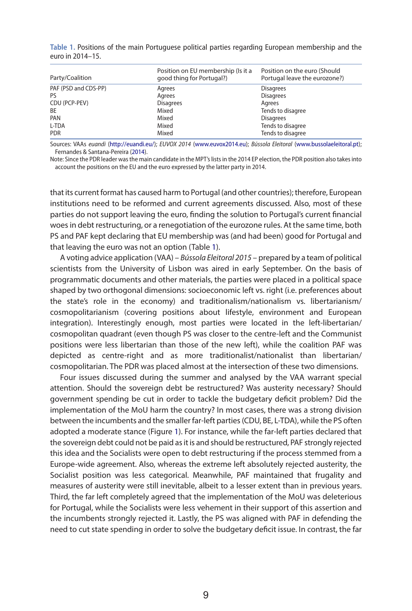| Table 1. Positions of the main Portuguese political parties regarding European membership and the |  |  |  |  |
|---------------------------------------------------------------------------------------------------|--|--|--|--|
| euro in 2014–15.                                                                                  |  |  |  |  |

| Party/Coalition      | Position on EU membership (Is it a<br>good thing for Portugal?) | Position on the euro (Should<br>Portugal leave the eurozone?) |
|----------------------|-----------------------------------------------------------------|---------------------------------------------------------------|
| PAF (PSD and CDS-PP) | Agrees                                                          | <b>Disagrees</b>                                              |
| Pς                   | Agrees                                                          | <b>Disagrees</b>                                              |
| CDU (PCP-PEV)        | <b>Disagrees</b>                                                | Agrees                                                        |
| <b>BE</b>            | Mixed                                                           | Tends to disagree                                             |
| PAN                  | Mixed                                                           | <b>Disagrees</b>                                              |
| L-TDA                | Mixed                                                           | Tends to disagree                                             |
| <b>PDR</b>           | Mixed                                                           | Tends to disagree                                             |

Sources: Vaas *euandi* (http://euandi.eu/); *EUVOX 2014* (www.euvox2014.eu); *Bússola Eleitoral* (www.bussolaeleitoral.pt); Fernandes & Santana-Pereira (2014).

Note: Since the PDR leader was the main candidate in the MPT's lists in the 2014 EP election, the PDR position also takes into account the positions on the EU and the euro expressed by the latter party in 2014.

that its current format has caused harm to Portugal (and other countries); therefore, European institutions need to be reformed and current agreements discussed. Also, most of these parties do not support leaving the euro, finding the solution to Portugal's current financial woes in debt restructuring, or a renegotiation of the eurozone rules. At the same time, both PS and PAF kept declaring that EU membership was (and had been) good for Portugal and that leaving the euro was not an option (Table 1).

A voting advice application (VAA) – *Bússola Eleitoral 2015* – prepared by a team of political scientists from the University of Lisbon was aired in early September. On the basis of programmatic documents and other materials, the parties were placed in a political space shaped by two orthogonal dimensions: socioeconomic left vs. right (i.e. preferences about the state's role in the economy) and traditionalism/nationalism vs. libertarianism/ cosmopolitarianism (covering positions about lifestyle, environment and European integration). Interestingly enough, most parties were located in the left-libertarian/ cosmopolitan quadrant (even though PS was closer to the centre-left and the Communist positions were less libertarian than those of the new left), while the coalition PAF was depicted as centre-right and as more traditionalist/nationalist than libertarian/ cosmopolitarian. The PDr was placed almost at the intersection of these two dimensions.

Four issues discussed during the summer and analysed by the VAA warrant special attention. Should the sovereign debt be restructured? Was austerity necessary? Should government spending be cut in order to tackle the budgetary deficit problem? Did the implementation of the MoU harm the country? In most cases, there was a strong division between the incumbents and the smaller far-left parties (CDU, BE, L-TDA), while the PS often adopted a moderate stance (Figure 1). For instance, while the far-left parties declared that the sovereign debt could not be paid as it is and should be restructured, PAF strongly rejected this idea and the Socialists were open to debt restructuring if the process stemmed from a Europe-wide agreement. Also, whereas the extreme left absolutely rejected austerity, the Socialist position was less categorical. Meanwhile, PAF maintained that frugality and measures of austerity were still inevitable, albeit to a lesser extent than in previous years. Third, the far left completely agreed that the implementation of the MoU was deleterious for Portugal, while the Socialists were less vehement in their support of this assertion and the incumbents strongly rejected it. Lastly, the PS was aligned with PAF in defending the need to cut state spending in order to solve the budgetary deficit issue. In contrast, the far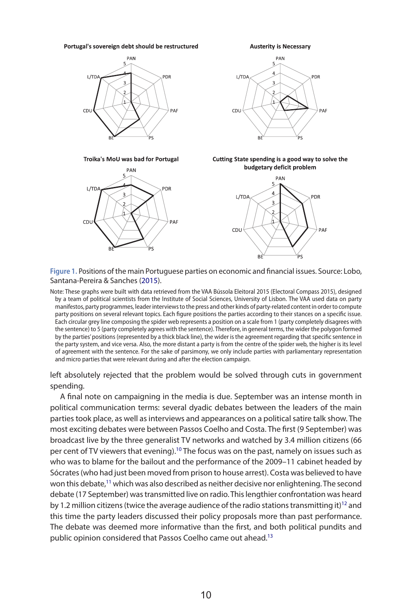#### Portugal's sovereign debt should be restructured



Troika's MoU was bad for Portugal







Cutting State spending is a good way to solve the budgetary deficit problem



**Figure 1.** positions of the main Portuguese parties on economic and financial issues. Source: Lobo, Santana-Pereira & Sanches (2015).

Note: These graphs were built with data retrieved from the VAA Bússola Eleitoral 2015 (Electoral Compass 2015), designed by a team of political scientists from the Institute of Social Sciences, University of Lisbon. The VAA used data on party manifestos, party programmes, leader interviews to the press and other kinds of party-related content in order to compute party positions on several relevant topics. Each figure positions the parties according to their stances on a specific issue. Each circular grey line composing the spider web represents a position on a scale from 1 (party completely disagrees with the sentence) to 5 (party completely agrees with the sentence). therefore, in general terms, the wider the polygon formed by the parties' positions (represented by a thick black line), the wider is the agreement regarding that specific sentence in the party system, and vice versa. also, the more distant a party is from the centre of the spider web, the higher is its level of agreement with the sentence. For the sake of parsimony, we only include parties with parliamentary representation and micro parties that were relevant during and after the election campaign.

left absolutely rejected that the problem would be solved through cuts in government spending.

A final note on campaigning in the media is due. September was an intense month in political communication terms: several dyadic debates between the leaders of the main parties took place, as well as interviews and appearances on a political satire talk show. The most exciting debates were between Passos Coelho and Costa. The first (9 September) was broadcast live by the three generalist TV networks and watched by 3.4 million citizens (66 per cent of TV viewers that evening).10 The focus was on the past, namely on issues such as who was to blame for the bailout and the performance of the 2009–11 cabinet headed by Sócrates (who had just been moved from prison to house arrest). Costa was believed to have won this debate,<sup>11</sup> which was also described as neither decisive nor enlightening. The second debate (17 September) was transmitted live on radio. This lengthier confrontation was heard by 1.2 million citizens (twice the average audience of the radio stations transmitting it)<sup>12</sup> and this time the party leaders discussed their policy proposals more than past performance. The debate was deemed more informative than the first, and both political pundits and public opinion considered that Passos Coelho came out ahead.<sup>13</sup>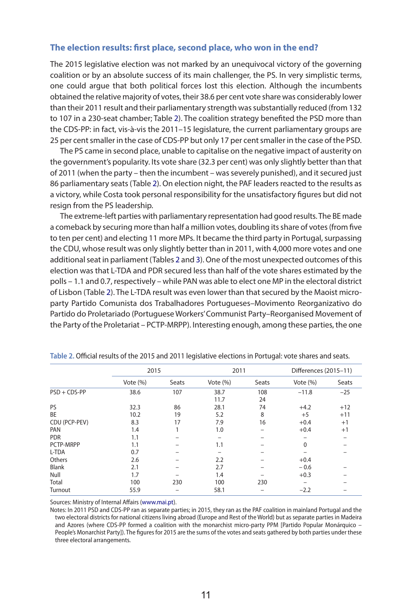# **The election results: first place, second place, who won in the end?**

The 2015 legislative election was not marked by an unequivocal victory of the governing coalition or by an absolute success of its main challenger, the PS. In very simplistic terms, one could argue that both political forces lost this election. Although the incumbents obtained the relative majority of votes, their 38.6 per cent vote share was considerably lower than their 2011 result and their parliamentary strength was substantially reduced (from 132 to 107 in a 230-seat chamber; Table 2). The coalition strategy benefited the PSD more than the CDS-PP: in fact, vis-à-vis the 2011–15 legislature, the current parliamentary groups are 25 per cent smaller in the case of CDS-PP but only 17 per cent smaller in the case of the PSD.

The PS came in second place, unable to capitalise on the negative impact of austerity on the government's popularity. Its vote share (32.3 per cent) was only slightly better than that of 2011 (when the party – then the incumbent – was severely punished), and it secured just 86 parliamentary seats (Table 2). On election night, the PAF leaders reacted to the results as a victory, while Costa took personal responsibility for the unsatisfactory figures but did not resign from the PS leadership.

The extreme-left parties with parliamentary representation had good results. The BE made a comeback by securing more than half a million votes, doubling its share of votes (from five to ten per cent) and electing 11 more MPs. It became the third party in Portugal, surpassing the CDU, whose result was only slightly better than in 2011, with 4,000 more votes and one additional seat in parliament (Tables 2 and 3). One of the most unexpected outcomes of this election was that L-TDA and PDr secured less than half of the vote shares estimated by the polls – 1.1 and 0.7, respectively – while PAn was able to elect one MP in the electoral district of Lisbon (Table 2). The L-TDA result was even lower than that secured by the Maoist microparty Partido Comunista dos Trabalhadores Portugueses–Movimento reorganizativo do Partido do Proletariado (Portuguese Workers' Communist Party–Reorganised Movement of the Party of the Proletariat – PCTP-MrPP). Interesting enough, among these parties, the one

|                | 2015        |       | 2011        |       | Differences (2015-11) |       |
|----------------|-------------|-------|-------------|-------|-----------------------|-------|
|                | Vote $(\%)$ | Seats | Vote $(\%)$ | Seats | Vote $(% )$           | Seats |
| $PSD + CDS-PP$ | 38.6        | 107   | 38.7        | 108   | $-11.8$               | $-25$ |
|                |             |       | 11.7        | 24    |                       |       |
| PS             | 32.3        | 86    | 28.1        | 74    | $+4.2$                | $+12$ |
| <b>BE</b>      | 10.2        | 19    | 5.2         | 8     | $+5$                  | $+11$ |
| CDU (PCP-PEV)  | 8.3         | 17    | 7.9         | 16    | $+0.4$                | $+1$  |
| PAN            | 1.4         |       | 1.0         |       | $+0.4$                | $+1$  |
| <b>PDR</b>     | 1.1         |       |             |       |                       |       |
| PCTP-MRPP      | 1.1         |       | 1.1         |       | $\mathbf{0}$          |       |
| L-TDA          | 0.7         |       |             |       |                       |       |
| Others         | 2.6         |       | 2.2         |       | $+0.4$                |       |
| Blank          | 2.1         |       | 2.7         |       | $-0.6$                |       |
| Null           | 1.7         |       | 1.4         |       | $+0.3$                |       |
| Total          | 100         | 230   | 100         | 230   |                       |       |
| Turnout        | 55.9        |       | 58.1        |       | $-2.2$                |       |

**Table 2.** official results of the 2015 and 2011 legislative elections in portugal: vote shares and seats.

Sources: Ministry of internal affairs (www.mai.pt).

Notes: In 2011 PSD and CDS-PP ran as separate parties; in 2015, they ran as the PAF coalition in mainland Portugal and the two electoral districts for national citizens living abroad (Europe and Rest of the World) but as separate parties in Madeira and Azores (where CDS-PP formed a coalition with the monarchist micro-party PPM [Partido Popular Monárquico – People's Monarchist Party]). The figures for 2015 are the sums of the votes and seats gathered by both parties under these three electoral arrangements.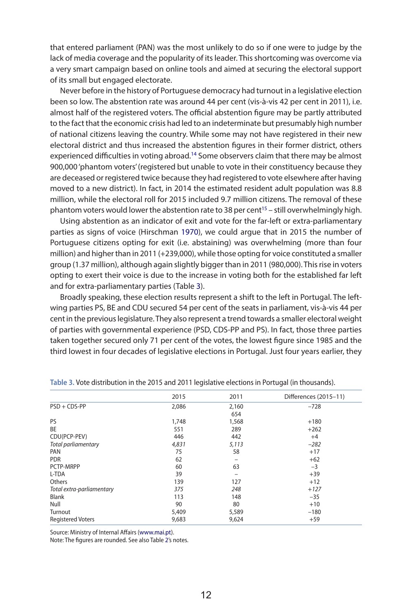that entered parliament (PAn) was the most unlikely to do so if one were to judge by the lack of media coverage and the popularity of its leader. This shortcoming was overcome via a very smart campaign based on online tools and aimed at securing the electoral support of its small but engaged electorate.

Never before in the history of Portuguese democracy had turnout in a legislative election been so low. The abstention rate was around 44 per cent (vis-à-vis 42 per cent in 2011), i.e. almost half of the registered voters. The official abstention figure may be partly attributed to the fact that the economic crisis had led to an indeterminate but presumably high number of national citizens leaving the country. While some may not have registered in their new electoral district and thus increased the abstention figures in their former district, others experienced difficulties in voting abroad.<sup>14</sup> Some observers claim that there may be almost 900,000 'phantom voters' (registered but unable to vote in their constituency because they are deceased or registered twice because they had registered to vote elsewhere after having moved to a new district). In fact, in 2014 the estimated resident adult population was 8.8 million, while the electoral roll for 2015 included 9.7 million citizens. The removal of these phantom voters would lower the abstention rate to 38 per cent<sup>15</sup> – still overwhelmingly high.

Using abstention as an indicator of exit and vote for the far-left or extra-parliamentary parties as signs of voice (Hirschman 1970), we could argue that in 2015 the number of Portuguese citizens opting for exit (i.e. abstaining) was overwhelming (more than four million) and higher than in 2011 (+239,000), while those opting for voice constituted a smaller group (1.37 million), although again slightly bigger than in 2011 (980,000). This rise in voters opting to exert their voice is due to the increase in voting both for the established far left and for extra-parliamentary parties (Table 3).

Broadly speaking, these election results represent a shift to the left in Portugal. The leftwing parties PS, BE and CDU secured 54 per cent of the seats in parliament, vis-à-vis 44 per cent in the previous legislature. They also represent a trend towards a smaller electoral weight of parties with governmental experience (PSD, CDS-PP and PS). In fact, those three parties taken together secured only 71 per cent of the votes, the lowest figure since 1985 and the third lowest in four decades of legislative elections in Portugal. Just four years earlier, they

|                           | 2015  | 2011  | Differences (2015-11) |
|---------------------------|-------|-------|-----------------------|
| $PSD + CDS-PP$            | 2,086 | 2,160 | $-728$                |
|                           |       | 654   |                       |
| PS                        | 1,748 | 1,568 | $+180$                |
| BE                        | 551   | 289   | $+262$                |
| CDU(PCP-PEV)              | 446   | 442   | $+4$                  |
| Total parliamentary       | 4,831 | 5,113 | $-282$                |
| PAN                       | 75    | 58    | $+17$                 |
| <b>PDR</b>                | 62    |       | $+62$                 |
| PCTP-MRPP                 | 60    | 63    | $-3$                  |
| L-TDA                     | 39    |       | $+39$                 |
| Others                    | 139   | 127   | $+12$                 |
| Total extra-parliamentary | 375   | 248   | $+127$                |
| <b>Blank</b>              | 113   | 148   | $-35$                 |
| Null                      | 90    | 80    | $+10$                 |
| Turnout                   | 5,409 | 5,589 | $-180$                |
| <b>Registered Voters</b>  | 9,683 | 9,624 | $+59$                 |
|                           |       |       |                       |

**Table 3.** Vote distribution in the 2015 and 2011 legislative elections in portugal (in thousands).

Source: Ministry of internal affairs (www.mai.pt).

Note: The figures are rounded. See also Table 2's notes.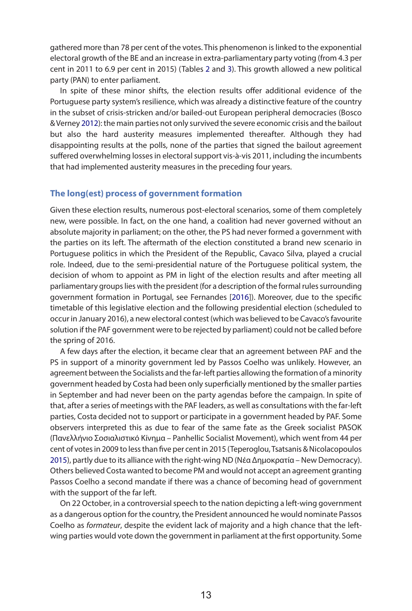gathered more than 78 per cent of the votes. This phenomenon is linked to the exponential electoral growth of the BE and an increase in extra-parliamentary party voting (from 4.3 per cent in 2011 to 6.9 per cent in 2015) (Tables 2 and 3). This growth allowed a new political party (PAn) to enter parliament.

In spite of these minor shifts, the election results offer additional evidence of the Portuguese party system's resilience, which was already a distinctive feature of the country in the subset of crisis-stricken and/or bailed-out European peripheral democracies (Bosco & Verney 2012): the main parties not only survived the severe economic crisis and the bailout but also the hard austerity measures implemented thereafter. Although they had disappointing results at the polls, none of the parties that signed the bailout agreement suffered overwhelming losses in electoral support vis-à-vis 2011, including the incumbents that had implemented austerity measures in the preceding four years.

### **The long(est) process of government formation**

Given these election results, numerous post-electoral scenarios, some of them completely new, were possible. In fact, on the one hand, a coalition had never governed without an absolute majority in parliament; on the other, the PS had never formed a government with the parties on its left. The aftermath of the election constituted a brand new scenario in Portuguese politics in which the President of the Republic, Cavaco Silva, played a crucial role. Indeed, due to the semi-presidential nature of the Portuguese political system, the decision of whom to appoint as PM in light of the election results and after meeting all parliamentary groups lies with the president (for a description of the formal rules surrounding government formation in Portugal, see Fernandes [2016]). Moreover, due to the specific timetable of this legislative election and the following presidential election (scheduled to occur in January 2016), a new electoral contest (which was believed to be Cavaco's favourite solution if the PAF government were to be rejected by parliament) could not be called before the spring of 2016.

A few days after the election, it became clear that an agreement between PAF and the PS in support of a minority government led by Passos Coelho was unlikely. However, an agreement between the Socialists and the far-left parties allowing the formation of a minority government headed by Costa had been only superficially mentioned by the smaller parties in September and had never been on the party agendas before the campaign. In spite of that, after a series of meetings with the PAF leaders, as well as consultations with the far-left parties, Costa decided not to support or participate in a government headed by PAF. Some observers interpreted this as due to fear of the same fate as the Greek socialist PASOK (Πανελλήνιο Σοσιαλιστικό Κίνημα – Panhellic Socialist Movement), which went from 44 per cent of votes in 2009 to less than five per cent in 2015 (Teperoglou, Tsatsanis & nicolacopoulos 2015), partly due to its alliance with the right-wing ND (Νέα Δημοκρατία – New Democracy). Others believed Costa wanted to become PM and would not accept an agreement granting Passos Coelho a second mandate if there was a chance of becoming head of government with the support of the far left.

On 22 October, in a controversial speech to the nation depicting a left-wing government as a dangerous option for the country, the President announced he would nominate Passos Coelho as *formateur*, despite the evident lack of majority and a high chance that the leftwing parties would vote down the government in parliament at the first opportunity. Some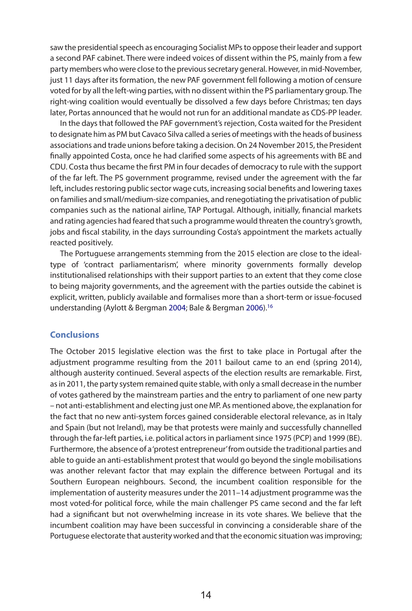saw the presidential speech as encouraging Socialist MPs to oppose their leader and support a second PAF cabinet. There were indeed voices of dissent within the PS, mainly from a few party members who were close to the previous secretary general. However, in mid-november, just 11 days after its formation, the new PAF government fell following a motion of censure voted for by all the left-wing parties, with no dissent within the PS parliamentary group. The right-wing coalition would eventually be dissolved a few days before Christmas; ten days later, Portas announced that he would not run for an additional mandate as CDS-PP leader.

In the days that followed the PAF government's rejection, Costa waited for the President to designate him as PM but Cavaco Silva called a series of meetings with the heads of business associations and trade unions before taking a decision. On 24 november 2015, the President finally appointed Costa, once he had clarified some aspects of his agreements with BE and CDU. Costa thus became the first PM in four decades of democracy to rule with the support of the far left. The PS government programme, revised under the agreement with the far left, includes restoring public sector wage cuts, increasing social benefits and lowering taxes on families and small/medium-size companies, and renegotiating the privatisation of public companies such as the national airline, TAP Portugal. Although, initially, financial markets and rating agencies had feared that such a programme would threaten the country's growth, jobs and fiscal stability, in the days surrounding Costa's appointment the markets actually reacted positively.

The Portuguese arrangements stemming from the 2015 election are close to the idealtype of 'contract parliamentarism', where minority governments formally develop institutionalised relationships with their support parties to an extent that they come close to being majority governments, and the agreement with the parties outside the cabinet is explicit, written, publicly available and formalises more than a short-term or issue-focused understanding (Aylott & Bergman 2004; Bale & Bergman 2006).16

# **Conclusions**

The October 2015 legislative election was the first to take place in Portugal after the adjustment programme resulting from the 2011 bailout came to an end (spring 2014), although austerity continued. Several aspects of the election results are remarkable. First, as in 2011, the party system remained quite stable, with only a small decrease in the number of votes gathered by the mainstream parties and the entry to parliament of one new party – not anti-establishment and electing just one MP. As mentioned above, the explanation for the fact that no new anti-system forces gained considerable electoral relevance, as in Italy and Spain (but not Ireland), may be that protests were mainly and successfully channelled through the far-left parties, i.e. political actors in parliament since 1975 (PCP) and 1999 (BE). Furthermore, the absence of a 'protest entrepreneur' from outside the traditional parties and able to guide an anti-establishment protest that would go beyond the single mobilisations was another relevant factor that may explain the difference between Portugal and its Southern European neighbours. Second, the incumbent coalition responsible for the implementation of austerity measures under the 2011–14 adjustment programme was the most voted-for political force, while the main challenger PS came second and the far left had a significant but not overwhelming increase in its vote shares. We believe that the incumbent coalition may have been successful in convincing a considerable share of the Portuguese electorate that austerity worked and that the economic situation was improving;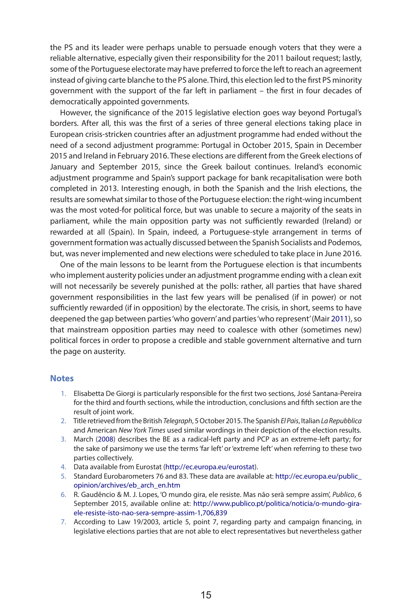the PS and its leader were perhaps unable to persuade enough voters that they were a reliable alternative, especially given their responsibility for the 2011 bailout request; lastly, some of the Portuguese electorate may have preferred to force the left to reach an agreement instead of giving carte blanche to the PS alone. Third, this election led to the first PS minority government with the support of the far left in parliament – the first in four decades of democratically appointed governments.

However, the significance of the 2015 legislative election goes way beyond Portugal's borders. After all, this was the first of a series of three general elections taking place in European crisis-stricken countries after an adjustment programme had ended without the need of a second adjustment programme: Portugal in October 2015, Spain in December 2015 and Ireland in February 2016. These elections are different from the Greek elections of January and September 2015, since the Greek bailout continues. Ireland's economic adjustment programme and Spain's support package for bank recapitalisation were both completed in 2013. Interesting enough, in both the Spanish and the Irish elections, the results are somewhat similar to those of the Portuguese election: the right-wing incumbent was the most voted-for political force, but was unable to secure a majority of the seats in parliament, while the main opposition party was not sufficiently rewarded (Ireland) or rewarded at all (Spain). In Spain, indeed, a Portuguese-style arrangement in terms of government formation was actually discussed between the Spanish Socialists and Podemos, but, was never implemented and new elections were scheduled to take place in June 2016.

One of the main lessons to be learnt from the Portuguese election is that incumbents who implement austerity policies under an adjustment programme ending with a clean exit will not necessarily be severely punished at the polls: rather, all parties that have shared government responsibilities in the last few years will be penalised (if in power) or not sufficiently rewarded (if in opposition) by the electorate. The crisis, in short, seems to have deepened the gap between parties 'who govern' and parties 'who represent' (Mair 2011), so that mainstream opposition parties may need to coalesce with other (sometimes new) political forces in order to propose a credible and stable government alternative and turn the page on austerity.

#### **Notes**

- 1. Elisabetta De Giorgi is particularly responsible for the first two sections, José Santana-Pereira for the third and fourth sections, while the introduction, conclusions and fifth section are the result of joint work.
- 2. Title retrieved from the British *Telegraph*, 5 October 2015. The Spanish *El Pais*, Italian *La Repubblica* and American *New York Times* used similar wordings in their depiction of the election results.
- 3. March (2008) describes the BE as a radical-left party and PCP as an extreme-left party; for the sake of parsimony we use the terms 'far left' or 'extreme left' when referring to these two parties collectively.
- 4. Data available from Eurostat (http://ec.europa.eu/eurostat).
- 5. Standard Eurobarometers 76 and 83. These data are available at: http://ec.europa.eu/public\_ opinion/archives/eb\_arch\_en.htm
- 6. r. Gaudêncio & M. J. Lopes, 'O mundo gira, ele resiste. Mas não serà sempre assim', *Publico*, 6 September 2015, available online at: http://www.publico.pt/politica/noticia/o-mundo-giraele-resiste-isto-nao-sera-sempre-assim-1,706,839
- 7. According to Law 19/2003, article 5, point 7, regarding party and campaign financing, in legislative elections parties that are not able to elect representatives but nevertheless gather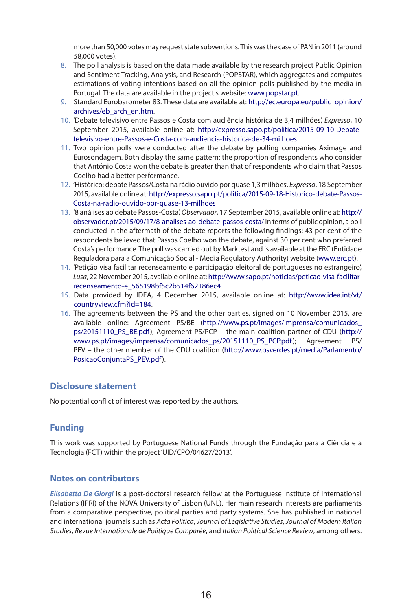more than 50,000 votes may request state subventions. This was the case of PAn in 2011 (around 58,000 votes).

- 8. The poll analysis is based on the data made available by the research project Public Opinion and Sentiment Tracking, Analysis, and Research (POPSTAR), which aggregates and computes estimations of voting intentions based on all the opinion polls published by the media in Portugal. The data are available in the project's website: www.popstar.pt.
- 9. Standard Eurobarometer 83. These data are available at: http://ec.europa.eu/public\_opinion/ archives/eb\_arch\_en.htm.
- 10. 'Debate televisivo entre Passos e Costa com audiência histórica de 3,4 milhões', *Expresso*, 10 September 2015, available online at: http://expresso.sapo.pt/politica/2015-09-10-Debatetelevisivo-entre-Passos-e-Costa-com-audiencia-historica-de-34-milhoes
- 11. Two opinion polls were conducted after the debate by polling companies Aximage and Eurosondagem. Both display the same pattern: the proportion of respondents who consider that António Costa won the debate is greater than that of respondents who claim that Passos Coelho had a better performance.
- 12. 'Histórico: debate Passos/Costa na rádio ouvido por quase 1,3 milhões', *Expresso*, 18 September 2015, available online at: http://expresso.sapo.pt/politica/2015-09-18-Historico-debate-Passos-Costa-na-radio-ouvido-por-quase-13-milhoes
- 13. '8 análises ao debate Passos-Costa', *Observador*, 17 September 2015, available online at: http:// observador.pt/2015/09/17/8-analises-ao-debate-passos-costa/ In terms of public opinion, a poll conducted in the aftermath of the debate reports the following findings: 43 per cent of the respondents believed that Passos Coelho won the debate, against 30 per cent who preferred Costa's performance. The poll was carried out by Marktest and is available at the ErC (Entidade Reguladora para a Comunicação Social - Media Regulatory Authority) website (www.erc.pt).
- 14. 'Petição visa facilitar recenseamento e participação eleitoral de portugueses no estrangeiro', Lusa, 22 November 2015, available online at: http://www.sapo.pt/noticias/peticao-visa-facilitarrecenseamento-e\_565198bf5c2b514f62186ec4
- 15. Data provided by IDEA, 4 December 2015, available online at: http://www.idea.int/vt/ countryview.cfm?id=184.
- 16. The agreements between the PS and the other parties, signed on 10 November 2015, are available online: Agreement PS/BE (http://www.ps.pt/images/imprensa/comunicados\_ ps/20151110\_PS\_BE.pdf); Agreement PS/PCP – the main coalition partner of CDU (http:// www.ps.pt/images/imprensa/comunicados\_ps/20151110\_PS\_PCP.pdf); Agreement PS/ PEV – the other member of the CDU coalition (http://www.osverdes.pt/media/Parlamento/ PosicaoConjuntaPS\_PEV.pdf).

# **Disclosure statement**

No potential conflict of interest was reported by the authors.

### **Funding**

This work was supported by Portuguese national Funds through the Fundação para a Ciência e a Tecnologia (FCT) within the project 'UID/CPO/04627/2013'.

### **Notes on contributors**

*Elisabetta De Giorgi* is a post-doctoral research fellow at the Portuguese Institute of International Relations (IPRI) of the NOVA University of Lisbon (UNL). Her main research interests are parliaments from a comparative perspective, political parties and party systems. She has published in national and international journals such as *Acta Politica*, *Journal of Legislative Studies*, *Journal of Modern Italian Studies*, *Revue Internationale de Politique Comparée*, and *Italian Political Science Review*, among others.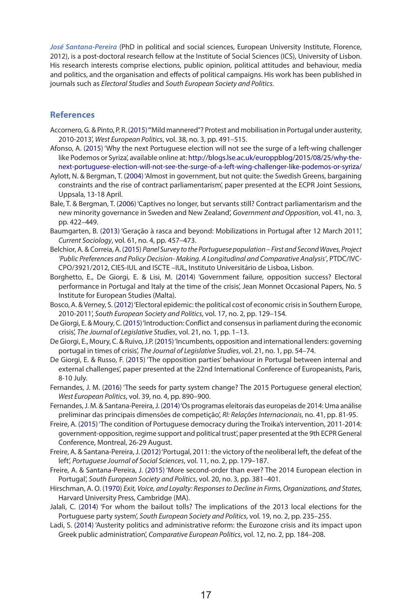*José Santana-Pereira* (PhD in political and social sciences, European University Institute, Florence, 2012), is a post-doctoral research fellow at the Institute of Social Sciences (ICS), University of Lisbon. His research interests comprise elections, public opinion, political attitudes and behaviour, media and politics, and the organisation and effects of political campaigns. His work has been published in journals such as *Electoral Studies* and *South European Society and Politics*.

## **References**

- Accornero, G. & Pinto, P. R. (2015) "Mild mannered"? Protest and mobilisation in Portugal under austerity, 2010-2013', *West European Politics*, vol. 38, no. 3, pp. 491–515.
- Afonso, A. (2015) 'Why the next Portuguese election will not see the surge of a left-wing challenger like Podemos or Syriza', available online at: http://blogs.lse.ac.uk/europpblog/2015/08/25/why-thenext-portuguese-election-will-not-see-the-surge-of-a-left-wing-challenger-like-podemos-or-syriza/
- Aylott, n. & Bergman, T. (2004) 'Almost in government, but not quite: the Swedish Greens, bargaining constraints and the rise of contract parliamentarism', paper presented at the ECPR Joint Sessions, Uppsala, 13-18 April.
- Bale, T. & Bergman, T. (2006) 'Captives no longer, but servants still? Contract parliamentarism and the new minority governance in Sweden and New Zealand', *Government and Opposition*, vol. 41, no. 3, pp. 422–449.
- Baumgarten, B. (2013) 'Geração à rasca and beyond: Mobilizations in Portugal after 12 March 2011', *Current Sociology*, vol. 61, no. 4, pp. 457–473.
- Belchior, A. & Correia, A. (2015) *Panel Survey to the Portuguese population First and Second Waves, Project 'Public Preferences and Policy Decision- Making. A Longitudinal and Comparative Analysis'*, PTDC/IVC-CPO/3921/2012, CIES-IUL and ISCTE –IUL, Instituto Universitário de Lisboa, Lisbon.
- Borghetto, E., De Giorgi, E. & Lisi, M. (2014) 'Government failure, opposition success? Electoral performance in Portugal and Italy at the time of the crisis', Jean Monnet Occasional Papers, No. 5 Institute for European Studies (Malta).
- Bosco, A. & Verney, S. (2012) 'Electoral epidemic: the political cost of economic crisis in Southern Europe, 2010-2011', *South European Society and Politics*, vol. 17, no. 2, pp. 129–154.
- De Giorgi, E. & Moury, C. (2015) 'Introduction: Conflict and consensus in parliament during the economic crisis', *The Journal of Legislative Studies*, vol. 21, no. 1, pp. 1–13.
- De Giorgi, E., Moury, C. & Ruivo, J.P. (2015) 'Incumbents, opposition and international lenders: governing portugal in times of crisis', *The Journal of Legislative Studies*, vol. 21, no. 1, pp. 54–74.
- De Giorgi, E. & Russo, F. (2015) 'The opposition parties' behaviour in Portugal between internal and external challenges', paper presented at the 22nd International Conference of Europeanists, Paris, 8-10 July.
- Fernandes, J. M. (2016) 'The seeds for party system change? The 2015 Portuguese general election', *West European Politics*, vol. 39, no. 4, pp. 890–900.
- Fernandes, J. M. & Santana-Pereira, J. (2014) 'Os programas eleitorais das europeias de 2014: Uma análise preliminar das principais dimensões de competição', *RI: Relações Internacionais*, no. 41, pp. 81-95.
- Freire, A. (2015) 'The condition of Portuguese democracy during the Troika's intervention, 2011-2014: government-opposition, regime support and political trust', paper presented at the 9th ECPr General Conference, Montreal, 26-29 August.
- Freire, A. & Santana-Pereira, J. (2012) 'Portugal, 2011: the victory of the neoliberal left, the defeat of the left', *Portuguese Journal of Social Sciences*, vol. 11, no. 2, pp. 179–187.
- Freire, A. & Santana-Pereira, J. (2015) 'More second-order than ever? The 2014 European election in Portugal', *South European Society and Politics*, vol. 20, no. 3, pp. 381–401.
- Hirschman, A. O. (1970) *Exit, Voice, and Loyalty: Responses to Decline in Firms, Organizations, and States*, Harvard University Press, Cambridge (MA).
- Jalali, C. (2014) 'For whom the bailout tolls? The implications of the 2013 local elections for the Portuguese party system', *South European Society and Politics*, vol. 19, no. 2, pp. 235–255.
- Ladi, S. (2014) 'Austerity politics and administrative reform: the Eurozone crisis and its impact upon Greek public administration', *Comparative European Politics*, vol. 12, no. 2, pp. 184–208.